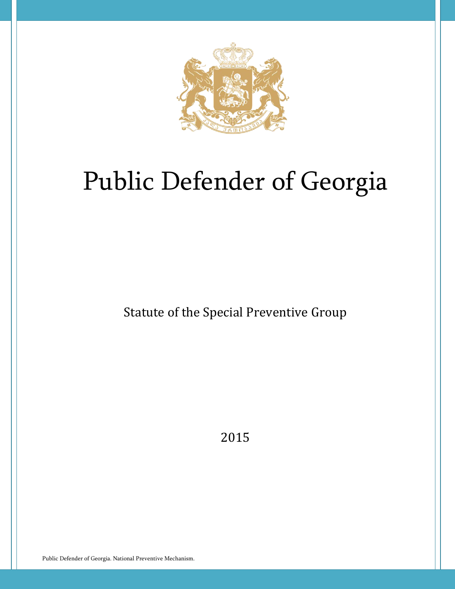

# Public Defender of Georgia

Statute of the Special Preventive Group

2015

Public Defender of Georgia. National Preventive Mechanism.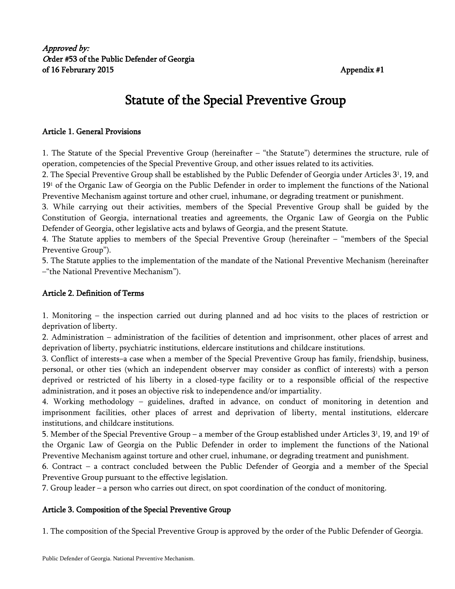## Statute of the Special Preventive Group

#### Article 1. General Provisions

1. The Statute of the Special Preventive Group (hereinafter – "the Statute") determines the structure, rule of operation, competencies of the Special Preventive Group, and other issues related to its activities.

2. The Special Preventive Group shall be established by the Public Defender of Georgia under Articles 3<sup>1</sup> , 19, and 19<sup>1</sup> of the Organic Law of Georgia on the Public Defender in order to implement the functions of the National Preventive Mechanism against torture and other cruel, inhumane, or degrading treatment or punishment.

3. While carrying out their activities, members of the Special Preventive Group shall be guided by the Constitution of Georgia, international treaties and agreements, the Organic Law of Georgia on the Public Defender of Georgia, other legislative acts and bylaws of Georgia, and the present Statute.

4. The Statute applies to members of the Special Preventive Group (hereinafter – "members of the Special Preventive Group").

5. The Statute applies to the implementation of the mandate of the National Preventive Mechanism (hereinafter –"the National Preventive Mechanism").

#### Article 2. Definition of Terms

1. Monitoring – the inspection carried out during planned and ad hoc visits to the places of restriction or deprivation of liberty.

2. Administration – administration of the facilities of detention and imprisonment, other places of arrest and deprivation of liberty, psychiatric institutions, eldercare institutions and childcare institutions.

3. Conflict of interests–a case when a member of the Special Preventive Group has family, friendship, business, personal, or other ties (which an independent observer may consider as conflict of interests) with a person deprived or restricted of his liberty in a closed-type facility or to a responsible official of the respective administration, and it poses an objective risk to independence and/or impartiality.

4. Working methodology – guidelines, drafted in advance, on conduct of monitoring in detention and imprisonment facilities, other places of arrest and deprivation of liberty, mental institutions, eldercare institutions, and childcare institutions.

5. Member of the Special Preventive Group – a member of the Group established under Articles 3<sup>1</sup> , 19, and 19<sup>1</sup> of the Organic Law of Georgia on the Public Defender in order to implement the functions of the National Preventive Mechanism against torture and other cruel, inhumane, or degrading treatment and punishment.

6. Contract – a contract concluded between the Public Defender of Georgia and a member of the Special Preventive Group pursuant to the effective legislation.

7. Group leader – a person who carries out direct, on spot coordination of the conduct of monitoring.

#### Article 3. Composition of the Special Preventive Group

1. The composition of the Special Preventive Group is approved by the order of the Public Defender of Georgia.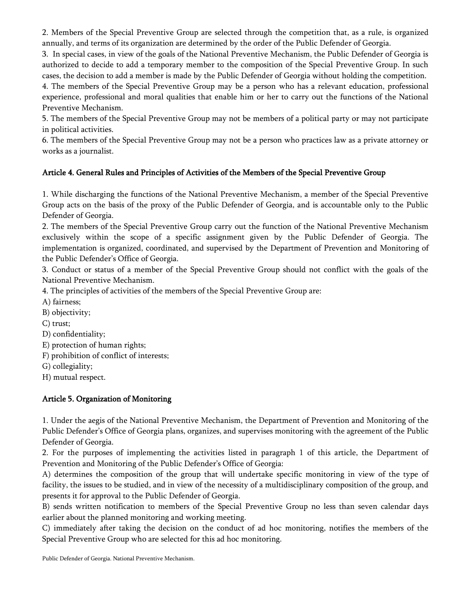2. Members of the Special Preventive Group are selected through the competition that, as a rule, is organized annually, and terms of its organization are determined by the order of the Public Defender of Georgia.

3. In special cases, in view of the goals of the National Preventive Mechanism, the Public Defender of Georgia is authorized to decide to add a temporary member to the composition of the Special Preventive Group. In such cases, the decision to add a member is made by the Public Defender of Georgia without holding the competition.

4. The members of the Special Preventive Group may be a person who has a relevant education, professional experience, professional and moral qualities that enable him or her to carry out the functions of the National Preventive Mechanism.

5. The members of the Special Preventive Group may not be members of a political party or may not participate in political activities.

6. The members of the Special Preventive Group may not be a person who practices law as a private attorney or works as a journalist.

#### Article 4. General Rules and Principles of Activities of the Members of the Special Preventive Group

1. While discharging the functions of the National Preventive Mechanism, a member of the Special Preventive Group acts on the basis of the proxy of the Public Defender of Georgia, and is accountable only to the Public Defender of Georgia.

2. The members of the Special Preventive Group carry out the function of the National Preventive Mechanism exclusively within the scope of a specific assignment given by the Public Defender of Georgia. The implementation is organized, coordinated, and supervised by the Department of Prevention and Monitoring of the Public Defender's Office of Georgia.

3. Conduct or status of a member of the Special Preventive Group should not conflict with the goals of the National Preventive Mechanism.

4. The principles of activities of the members of the Special Preventive Group are:

- A) fairness;
- B) objectivity;
- C) trust;

D) confidentiality;

- E) protection of human rights;
- F) prohibition of conflict of interests;

G) collegiality;

H) mutual respect.

### Article 5. Organization of Monitoring

1. Under the aegis of the National Preventive Mechanism, the Department of Prevention and Monitoring of the Public Defender's Office of Georgia plans, organizes, and supervises monitoring with the agreement of the Public Defender of Georgia.

2. For the purposes of implementing the activities listed in paragraph 1 of this article, the Department of Prevention and Monitoring of the Public Defender's Office of Georgia:

A) determines the composition of the group that will undertake specific monitoring in view of the type of facility, the issues to be studied, and in view of the necessity of a multidisciplinary composition of the group, and presents it for approval to the Public Defender of Georgia.

B) sends written notification to members of the Special Preventive Group no less than seven calendar days earlier about the planned monitoring and working meeting.

C) immediately after taking the decision on the conduct of ad hoc monitoring, notifies the members of the Special Preventive Group who are selected for this ad hoc monitoring.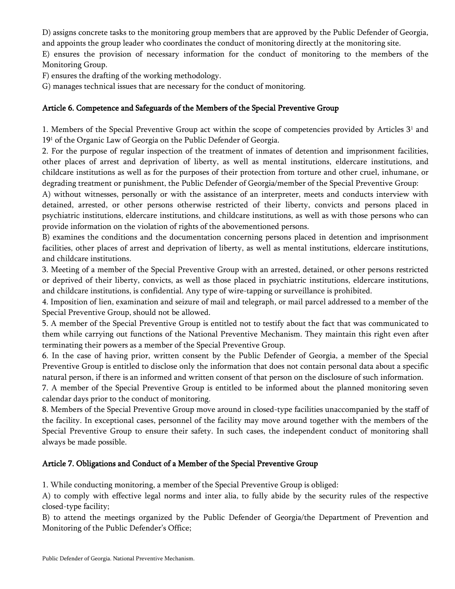D) assigns concrete tasks to the monitoring group members that are approved by the Public Defender of Georgia, and appoints the group leader who coordinates the conduct of monitoring directly at the monitoring site.

E) ensures the provision of necessary information for the conduct of monitoring to the members of the Monitoring Group.

F) ensures the drafting of the working methodology.

G) manages technical issues that are necessary for the conduct of monitoring.

#### Article 6. Competence and Safeguards of the Members of the Special Preventive Group

1. Members of the Special Preventive Group act within the scope of competencies provided by Articles  $3<sup>1</sup>$  and 19<sup>1</sup> of the Organic Law of Georgia on the Public Defender of Georgia.

2. For the purpose of regular inspection of the treatment of inmates of detention and imprisonment facilities, other places of arrest and deprivation of liberty, as well as mental institutions, eldercare institutions, and childcare institutions as well as for the purposes of their protection from torture and other cruel, inhumane, or degrading treatment or punishment, the Public Defender of Georgia/member of the Special Preventive Group:

A) without witnesses, personally or with the assistance of an interpreter, meets and conducts interview with detained, arrested, or other persons otherwise restricted of their liberty, convicts and persons placed in psychiatric institutions, eldercare institutions, and childcare institutions, as well as with those persons who can provide information on the violation of rights of the abovementioned persons.

B) examines the conditions and the documentation concerning persons placed in detention and imprisonment facilities, other places of arrest and deprivation of liberty, as well as mental institutions, eldercare institutions, and childcare institutions.

3. Meeting of a member of the Special Preventive Group with an arrested, detained, or other persons restricted or deprived of their liberty, convicts, as well as those placed in psychiatric institutions, eldercare institutions, and childcare institutions, is confidential. Any type of wire-tapping or surveillance is prohibited.

4. Imposition of lien, examination and seizure of mail and telegraph, or mail parcel addressed to a member of the Special Preventive Group, should not be allowed.

5. A member of the Special Preventive Group is entitled not to testify about the fact that was communicated to them while carrying out functions of the National Preventive Mechanism. They maintain this right even after terminating their powers as a member of the Special Preventive Group.

6. In the case of having prior, written consent by the Public Defender of Georgia, a member of the Special Preventive Group is entitled to disclose only the information that does not contain personal data about a specific natural person, if there is an informed and written consent of that person on the disclosure of such information.

7. A member of the Special Preventive Group is entitled to be informed about the planned monitoring seven calendar days prior to the conduct of monitoring.

8. Members of the Special Preventive Group move around in closed-type facilities unaccompanied by the staff of the facility. In exceptional cases, personnel of the facility may move around together with the members of the Special Preventive Group to ensure their safety. In such cases, the independent conduct of monitoring shall always be made possible.

### Article 7. Obligations and Conduct of a Member of the Special Preventive Group

1. While conducting monitoring, a member of the Special Preventive Group is obliged:

A) to comply with effective legal norms and inter alia, to fully abide by the security rules of the respective closed-type facility;

B) to attend the meetings organized by the Public Defender of Georgia/the Department of Prevention and Monitoring of the Public Defender's Office;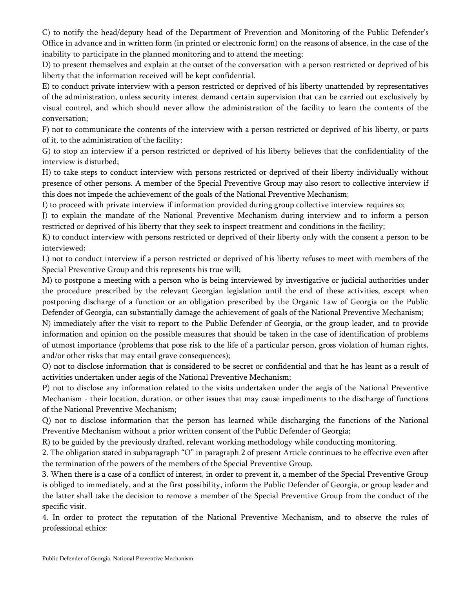C) to notify the head/deputy head of the Department of Prevention and Monitoring of the Public Defender's Office in advance and in written form (in printed or electronic form) on the reasons of absence, in the case of the inability to participate in the planned monitoring and to attend the meeting;

D) to present themselves and explain at the outset of the conversation with a person restricted or deprived of his liberty that the information received will be kept confidential.

E) to conduct private interview with a person restricted or deprived of his liberty unattended by representatives of the administration, unless security interest demand certain supervision that can be carried out exclusively by visual control, and which should never allow the administration of the facility to learn the contents of the conversation;

F) not to communicate the contents of the interview with a person restricted or deprived of his liberty, or parts of it, to the administration of the facility;

G) to stop an interview if a person restricted or deprived of his liberty believes that the confidentiality of the interview is disturbed;

H) to take steps to conduct interview with persons restricted or deprived of their liberty individually without presence of other persons. A member of the Special Preventive Group may also resort to collective interview if this does not impede the achievement of the goals of the National Preventive Mechanism;

I) to proceed with private interview if information provided during group collective interview requires so;

J) to explain the mandate of the National Preventive Mechanism during interview and to inform a person restricted or deprived of his liberty that they seek to inspect treatment and conditions in the facility;

K) to conduct interview with persons restricted or deprived of their liberty only with the consent a person to be interviewed;

L) not to conduct interview if a person restricted or deprived of his liberty refuses to meet with members of the Special Preventive Group and this represents his true will;

M) to postpone a meeting with a person who is being interviewed by investigative or judicial authorities under the procedure prescribed by the relevant Georgian legislation until the end of these activities, except when postponing discharge of a function or an obligation prescribed by the Organic Law of Georgia on the Public Defender of Georgia, can substantially damage the achievement of goals of the National Preventive Mechanism;

N) immediately after the visit to report to the Public Defender of Georgia, or the group leader, and to provide information and opinion on the possible measures that should be taken in the case of identification of problems of utmost importance (problems that pose risk to the life of a particular person, gross violation of human rights, and/or other risks that may entail grave consequences);

O) not to disclose information that is considered to be secret or confidential and that he has leant as a result of activities undertaken under aegis of the National Preventive Mechanism;

P) not to disclose any information related to the visits undertaken under the aegis of the National Preventive Mechanism - their location, duration, or other issues that may cause impediments to the discharge of functions of the National Preventive Mechanism;

Q) not to disclose information that the person has learned while discharging the functions of the National Preventive Mechanism without a prior written consent of the Public Defender of Georgia;

R) to be guided by the previously drafted, relevant working methodology while conducting monitoring.

2. The obligation stated in subparagraph "O" in paragraph 2 of present Article continues to be effective even after the termination of the powers of the members of the Special Preventive Group.

3. When there is a case of a conflict of interest, in order to prevent it, a member of the Special Preventive Group is obliged to immediately, and at the first possibility, inform the Public Defender of Georgia, or group leader and the latter shall take the decision to remove a member of the Special Preventive Group from the conduct of the specific visit.

4. In order to protect the reputation of the National Preventive Mechanism, and to observe the rules of professional ethics: